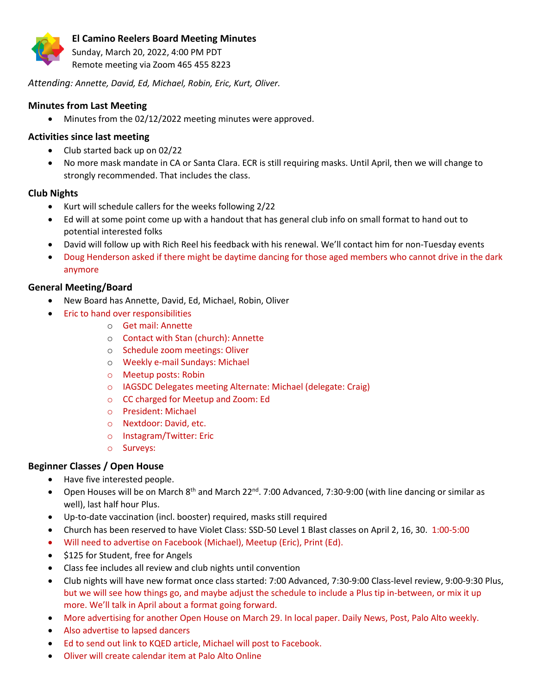

Sunday, March 20, 2022, 4:00 PM PDT Remote meeting via Zoom 465 455 8223

*Attending: Annette, David, Ed, Michael, Robin, Eric, Kurt, Oliver.*

# **Minutes from Last Meeting**

• Minutes from the 02/12/2022 meeting minutes were approved.

# **Activities since last meeting**

- Club started back up on 02/22
- No more mask mandate in CA or Santa Clara. ECR is still requiring masks. Until April, then we will change to strongly recommended. That includes the class.

# **Club Nights**

- Kurt will schedule callers for the weeks following 2/22
- Ed will at some point come up with a handout that has general club info on small format to hand out to potential interested folks
- David will follow up with Rich Reel his feedback with his renewal. We'll contact him for non-Tuesday events
- Doug Henderson asked if there might be daytime dancing for those aged members who cannot drive in the dark anymore

# **General Meeting/Board**

- New Board has Annette, David, Ed, Michael, Robin, Oliver
	- Eric to hand over responsibilities
		- o Get mail: Annette
		- o Contact with Stan (church): Annette
		- o Schedule zoom meetings: Oliver
		- o Weekly e-mail Sundays: Michael
		- o Meetup posts: Robin
		- o IAGSDC Delegates meeting Alternate: Michael (delegate: Craig)
		- o CC charged for Meetup and Zoom: Ed
		- o President: Michael
		- o Nextdoor: David, etc.
		- o Instagram/Twitter: Eric
		- o Surveys:

# **Beginner Classes / Open House**

- Have five interested people.
- Open Houses will be on March  $8^{th}$  and March 22<sup>nd</sup>. 7:00 Advanced, 7:30-9:00 (with line dancing or similar as well), last half hour Plus.
- Up-to-date vaccination (incl. booster) required, masks still required
- Church has been reserved to have Violet Class: SSD-50 Level 1 Blast classes on April 2, 16, 30. 1:00-5:00
- Will need to advertise on Facebook (Michael), Meetup (Eric), Print (Ed).
- \$125 for Student, free for Angels
- Class fee includes all review and club nights until convention
- Club nights will have new format once class started: 7:00 Advanced, 7:30-9:00 Class-level review, 9:00-9:30 Plus, but we will see how things go, and maybe adjust the schedule to include a Plus tip in-between, or mix it up more. We'll talk in April about a format going forward.
- More advertising for another Open House on March 29. In local paper. Daily News, Post, Palo Alto weekly.
- Also advertise to lapsed dancers
- Ed to send out link to KQED article, Michael will post to Facebook.
- Oliver will create calendar item at Palo Alto Online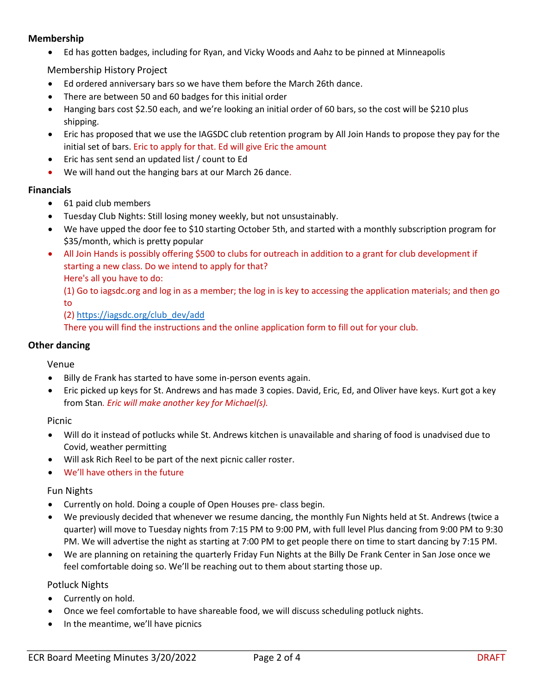## **Membership**

• Ed has gotten badges, including for Ryan, and Vicky Woods and Aahz to be pinned at Minneapolis

Membership History Project

- Ed ordered anniversary bars so we have them before the March 26th dance.
- There are between 50 and 60 badges for this initial order
- Hanging bars cost \$2.50 each, and we're looking an initial order of 60 bars, so the cost will be \$210 plus shipping.
- Eric has proposed that we use the IAGSDC club retention program by All Join Hands to propose they pay for the initial set of bars. Eric to apply for that. Ed will give Eric the amount
- Eric has sent send an updated list / count to Ed
- We will hand out the hanging bars at our March 26 dance.

### **Financials**

- 61 paid club members
- Tuesday Club Nights: Still losing money weekly, but not unsustainably.
- We have upped the door fee to \$10 starting October 5th, and started with a monthly subscription program for \$35/month, which is pretty popular
- All Join Hands is possibly offering \$500 to clubs for outreach in addition to a grant for club development if starting a new class. Do we intend to apply for that? Here's all you have to do:

(1) Go to iagsdc.org and log in as a member; the log in is key to accessing the application materials; and then go to

#### (2[\) https://iagsdc.org/club\\_dev/add](https://iagsdc.org/club_dev/add)

There you will find the instructions and the online application form to fill out for your club.

#### **Other dancing**

Venue

- Billy de Frank has started to have some in-person events again.
- Eric picked up keys for St. Andrews and has made 3 copies. David, Eric, Ed, and Oliver have keys. Kurt got a key from Stan*. Eric will make another key for Michael(s).*

Picnic

- Will do it instead of potlucks while St. Andrews kitchen is unavailable and sharing of food is unadvised due to Covid, weather permitting
- Will ask Rich Reel to be part of the next picnic caller roster.
- We'll have others in the future

#### Fun Nights

- Currently on hold. Doing a couple of Open Houses pre- class begin.
- We previously decided that whenever we resume dancing, the monthly Fun Nights held at St. Andrews (twice a quarter) will move to Tuesday nights from 7:15 PM to 9:00 PM, with full level Plus dancing from 9:00 PM to 9:30 PM. We will advertise the night as starting at 7:00 PM to get people there on time to start dancing by 7:15 PM.
- We are planning on retaining the quarterly Friday Fun Nights at the Billy De Frank Center in San Jose once we feel comfortable doing so. We'll be reaching out to them about starting those up.

#### Potluck Nights

- Currently on hold.
- Once we feel comfortable to have shareable food, we will discuss scheduling potluck nights.
- In the meantime, we'll have picnics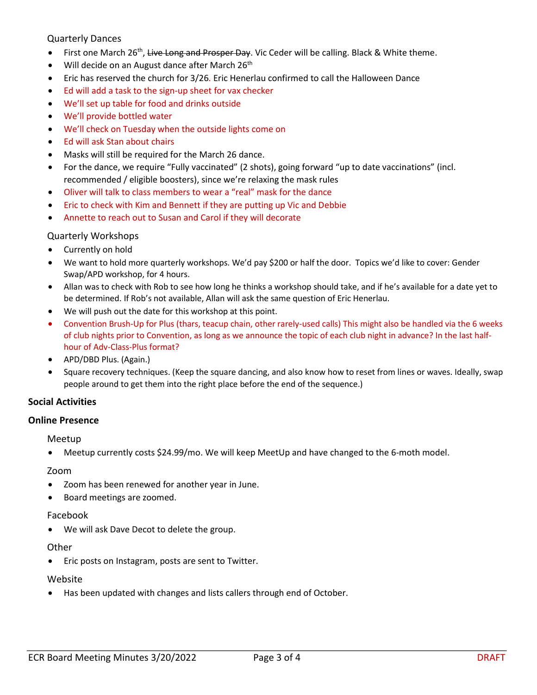Quarterly Dances

- First one March 26<sup>th</sup>, Live Long and Prosper Day. Vic Ceder will be calling. Black & White theme.
- Will decide on an August dance after March  $26<sup>th</sup>$
- Eric has reserved the church for 3/26*.* Eric Henerlau confirmed to call the Halloween Dance
- Ed will add a task to the sign-up sheet for vax checker
- We'll set up table for food and drinks outside
- We'll provide bottled water
- We'll check on Tuesday when the outside lights come on
- Ed will ask Stan about chairs
- Masks will still be required for the March 26 dance.
- For the dance, we require "Fully vaccinated" (2 shots), going forward "up to date vaccinations" (incl. recommended / eligible boosters), since we're relaxing the mask rules
- Oliver will talk to class members to wear a "real" mask for the dance
- Eric to check with Kim and Bennett if they are putting up Vic and Debbie
- Annette to reach out to Susan and Carol if they will decorate

#### Quarterly Workshops

- Currently on hold
- We want to hold more quarterly workshops. We'd pay \$200 or half the door. Topics we'd like to cover: Gender Swap/APD workshop, for 4 hours.
- Allan was to check with Rob to see how long he thinks a workshop should take, and if he's available for a date yet to be determined. If Rob's not available, Allan will ask the same question of Eric Henerlau.
- We will push out the date for this workshop at this point.
- Convention Brush-Up for Plus (thars, teacup chain, other rarely-used calls) This might also be handled via the 6 weeks of club nights prior to Convention, as long as we announce the topic of each club night in advance? In the last halfhour of Adv-Class-Plus format?
- APD/DBD Plus. (Again.)
- Square recovery techniques. (Keep the square dancing, and also know how to reset from lines or waves. Ideally, swap people around to get them into the right place before the end of the sequence.)

#### **Social Activities**

#### **Online Presence**

#### Meetup

• Meetup currently costs \$24.99/mo. We will keep MeetUp and have changed to the 6-moth model.

#### Zoom

- Zoom has been renewed for another year in June.
- Board meetings are zoomed.

#### Facebook

• We will ask Dave Decot to delete the group.

#### **Other**

• Eric posts on Instagram, posts are sent to Twitter.

#### Website

• Has been updated with changes and lists callers through end of October.